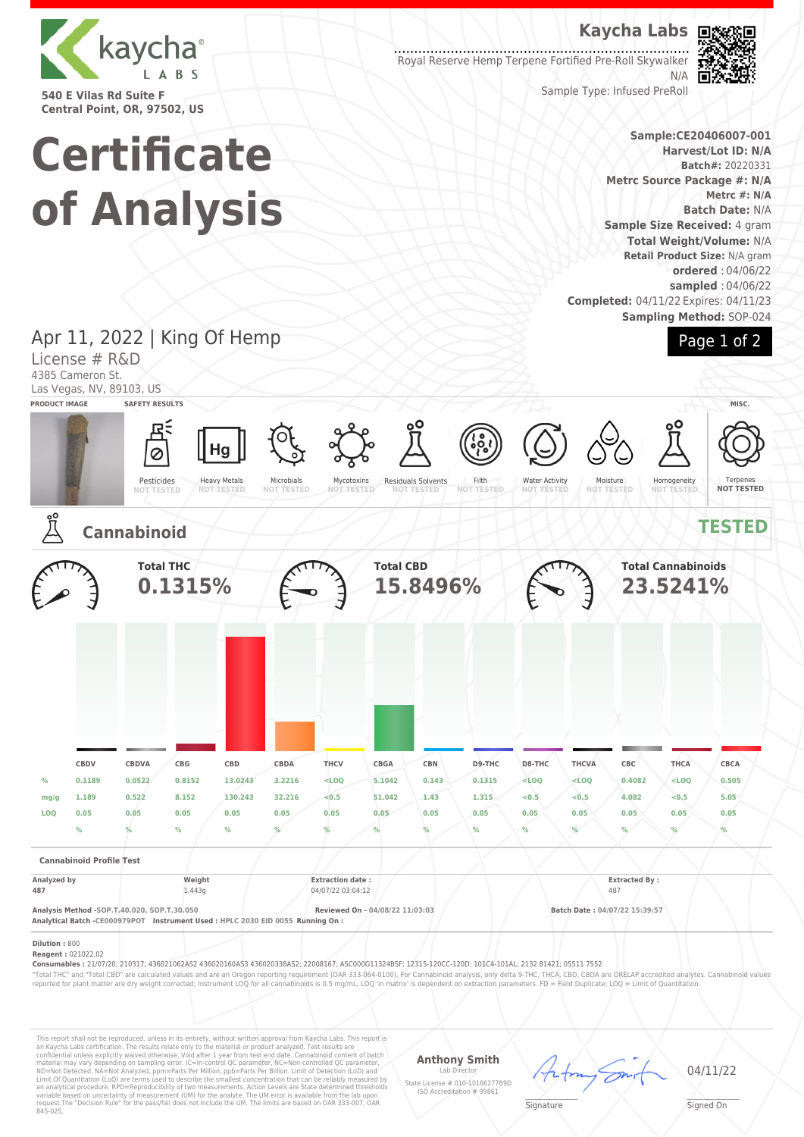

**540 E Vilas Rd Suite F Central Point, OR, 97502, US**

## **Kaycha Labs**

Royal Reserve Hemp Terpene Fortified Pre-Roll Skywalker N/A



Sample Type: Infused PreRoll

#### **Sample:CE20406007-001 Harvest/Lot ID: N/A Batch#:** 20220331 **Metrc Source Package #: N/A Metrc #: N/A Batch Date:** N/A **Sample Size Received:** 4 gram **Total Weight/Volume:** N/A **Retail Product Size:** N/A gram **ordered** : 04/06/22 **sampled** : 04/06/22 **Completed:** 04/11/22 Expires: 04/11/23 **Sampling Method:** SOP-024



# **Certificate of Analysis**

Apr 11, 2022 | King Of Hemp License # R&D 4385 Cameron St. Las Vegas, NV, 89103, US **PRODUCT IMAGE SAFETY RESULTS MISC.** Hg Ø Heavy Metals Pesticides Microbials Residuals Solvents Filth Water Activity Mycotoxins **NOT TESTED** Moisture **NOT TESTED** Homogeneity Terpenes **NOT TESTED NOT TESTED NOT TESTED NOT TESTED NOT TESTED NOT TESTED NOT TESTED Cannabinoid TESTED Total THC Total CBD Total Cannabinoids 0.1315% 15.8496% 23.5241% CBDV CBDVA CBG CBD CBDA THCV CBGA CBN D9-THC D8-THC THCVA CBC THCA CBCA % 0.1189 0.0522 0.8152 13.0243 3.2216 <LOQ 5.1042 0.143 0.1315 <LOQ <LOQ 0.4082 <LOQ 0.505 mg/g 1.189 0.522 8.152 130.243 32.216 <0.5 51.042 1.43 1.315 <0.5 <0.5 4.082 <0.5 5.05 LOQ 0.05 0.05 0.05 0.05 0.05 0.05 0.05 0.05 0.05 0.05 0.05 0.05 0.05 0.05 % % % % % % % % % % % % % % Cannabinoid Profile Test Analyzed by Weight Extraction date : Extracted By : 487** 1.443g 1.443g 04/07/22 03:04:12 487 **Analysis Method -SOP.T.40.020, SOP.T.30.050 Reviewed On - 04/08/22 11:03:03 Batch Date : 04/07/22 15:39:57 Analytical Batch -CE000979POT Instrument Used : HPLC 2030 EID 0055 Running On : Dilution :** 800 **Reagent :** 021022.02 **Consumables :** 21/07/20; 210317; 436021062AS2 436020160AS3 436020338AS2; 22008167; ASC000G11324BSF; 12315-120CC-120D; 101C4-101AL; 2132 81421; 05511 7552 "Total THC" and "Total CBD" are calculated values and are an Oregon reporting requirement (OAR 333-064-0100). For Cannabinoid analysis, only delta 9-THC, THCA, CBD, CBDA are ORELAP accredited analytes. Cannabinoid values<br>r

This report shall not be reproduced, unless in its entirety, without written approval from Kaycha Labs. This report is<br>an Kaycha Labs certification. The results relate only to the material or product analyzed. Test result

**Anthony Smith**

Lab Director State License # 010-10166277B9D ISO Accreditation # 99861



04/11/22

 $\mathscr{L}\setminus\mathscr{L}$ **Signature** 

Signed On